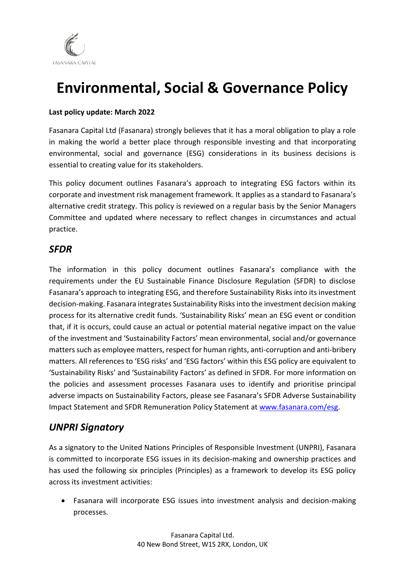

# **Environmental, Social & Governance Policy**

### **Last policy update: March 2022**

Fasanara Capital Ltd (Fasanara) strongly believes that it has a moral obligation to play a role in making the world a better place through responsible investing and that incorporating environmental, social and governance (ESG) considerations in its business decisions is essential to creating value for its stakeholders.

This policy document outlines Fasanara's approach to integrating ESG factors within its corporate and investment risk management framework. It applies as a standard to Fasanara's alternative credit strategy. This policy is reviewed on a regular basis by the Senior Managers Committee and updated where necessary to reflect changes in circumstances and actual practice.

## *SFDR*

The information in this policy document outlines Fasanara's compliance with the requirements under the EU Sustainable Finance Disclosure Regulation (SFDR) to disclose Fasanara's approach to integrating ESG, and therefore Sustainability Risks into its investment decision-making. Fasanara integrates Sustainability Risks into the investment decision making process for its alternative credit funds. 'Sustainability Risks' mean an ESG event or condition that, if it is occurs, could cause an actual or potential material negative impact on the value of the investment and 'Sustainability Factors' mean environmental, social and/or governance matters such as employee matters, respect for human rights, anti-corruption and anti-bribery matters. All references to 'ESG risks' and 'ESG factors' within this ESG policy are equivalent to 'Sustainability Risks' and 'Sustainability Factors' as defined in SFDR. For more information on the policies and assessment processes Fasanara uses to identify and prioritise principal adverse impacts on Sustainability Factors, please see Fasanara's SFDR Adverse Sustainability Impact Statement and SFDR Remuneration Policy Statement at [www.fasanara.com/esg.](http://www.fasanara.com/esg)

## *UNPRI Signatory*

As a signatory to the United Nations Principles of Responsible Investment (UNPRI), Fasanara is committed to incorporate ESG issues in its decision-making and ownership practices and has used the following six principles (Principles) as a framework to develop its ESG policy across its investment activities:

• Fasanara will incorporate ESG issues into investment analysis and decision-making processes.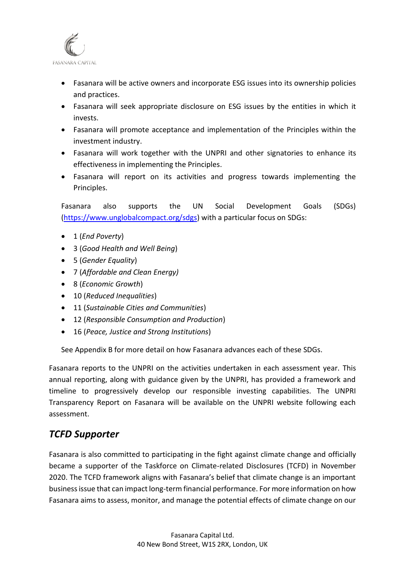

- Fasanara will be active owners and incorporate ESG issues into its ownership policies and practices.
- Fasanara will seek appropriate disclosure on ESG issues by the entities in which it invests.
- Fasanara will promote acceptance and implementation of the Principles within the investment industry.
- Fasanara will work together with the UNPRI and other signatories to enhance its effectiveness in implementing the Principles.
- Fasanara will report on its activities and progress towards implementing the Principles.

Fasanara also supports the UN Social Development Goals (SDGs) [\(https://www.unglobalcompact.org/sdgs\)](https://www.unglobalcompact.org/sdgs) with a particular focus on SDGs:

- 1 (*End Poverty*)
- 3 (*Good Health and Well Being*)
- 5 (*Gender Equality*)
- 7 (*Affordable and Clean Energy)*
- 8 (*Economic Growth*)
- 10 (*Reduced Inequalities*)
- 11 (*Sustainable Cities and Communities*)
- 12 (*Responsible Consumption and Production*)
- 16 (*Peace, Justice and Strong Institutions*)

See Appendix B for more detail on how Fasanara advances each of these SDGs.

Fasanara reports to the UNPRI on the activities undertaken in each assessment year. This annual reporting, along with guidance given by the UNPRI, has provided a framework and timeline to progressively develop our responsible investing capabilities. The UNPRI Transparency Report on Fasanara will be available on the UNPRI website following each assessment.

## *TCFD Supporter*

Fasanara is also committed to participating in the fight against climate change and officially became a supporter of the Taskforce on Climate-related Disclosures (TCFD) in November 2020. The TCFD framework aligns with Fasanara's belief that climate change is an important business issue that can impact long-term financial performance. For more information on how Fasanara aims to assess, monitor, and manage the potential effects of climate change on our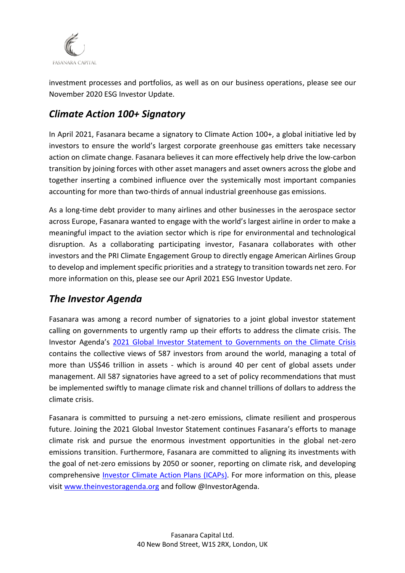

investment processes and portfolios, as well as on our business operations, please see our November 2020 ESG Investor Update.

## *Climate Action 100+ Signatory*

In April 2021, Fasanara became a signatory to Climate Action 100+, a global initiative led by investors to ensure the world's largest corporate greenhouse gas emitters take necessary action on climate change. Fasanara believes it can more effectively help drive the low-carbon transition by joining forces with other asset managers and asset owners across the globe and together inserting a combined influence over the systemically most important companies accounting for more than two-thirds of annual industrial greenhouse gas emissions.

As a long-time debt provider to many airlines and other businesses in the aerospace sector across Europe, Fasanara wanted to engage with the world's largest airline in order to make a meaningful impact to the aviation sector which is ripe for environmental and technological disruption. As a collaborating participating investor, Fasanara collaborates with other investors and the PRI Climate Engagement Group to directly engage American Airlines Group to develop and implement specific priorities and a strategy to transition towards net zero. For more information on this, please see our April 2021 ESG Investor Update.

## *The Investor Agenda*

Fasanara was among a record number of signatories to a joint global investor statement calling on governments to urgently ramp up their efforts to address the climate crisis. The Investor Agenda's [2021 Global Investor Statement to Governments on the Climate Crisis](https://theinvestoragenda.org/wp-content/uploads/2021/09/2021-Global-Investor-Statement-to-Governments-on-the-Climate-Crisis.pdf) contains the collective views of 587 investors from around the world, managing a total of more than US\$46 trillion in assets - which is around 40 per cent of global assets under management. All 587 signatories have agreed to a set of policy recommendations that must be implemented swiftly to manage climate risk and channel trillions of dollars to address the climate crisis.

Fasanara is committed to pursuing a net-zero emissions, climate resilient and prosperous future. Joining the 2021 Global Investor Statement continues Fasanara's efforts to manage climate risk and pursue the enormous investment opportunities in the global net-zero emissions transition. Furthermore, Fasanara are committed to aligning its investments with the goal of net-zero emissions by 2050 or sooner, reporting on climate risk, and developing comprehensive [Investor Climate Action Plans \(ICAPs\).](https://theinvestoragenda.org/icaps/) For more information on this, please visit [www.theinvestoragenda.org](http://www.theinvestoragenda.org/) and follow @InvestorAgenda.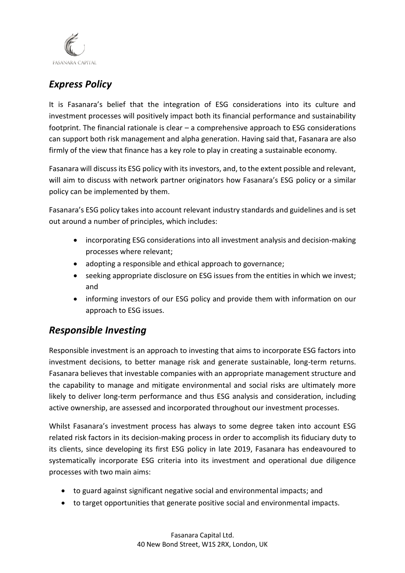

## *Express Policy*

It is Fasanara's belief that the integration of ESG considerations into its culture and investment processes will positively impact both its financial performance and sustainability footprint. The financial rationale is clear – a comprehensive approach to ESG considerations can support both risk management and alpha generation. Having said that, Fasanara are also firmly of the view that finance has a key role to play in creating a sustainable economy.

Fasanara will discuss its ESG policy with its investors, and, to the extent possible and relevant, will aim to discuss with network partner originators how Fasanara's ESG policy or a similar policy can be implemented by them.

Fasanara's ESG policy takes into account relevant industry standards and guidelines and is set out around a number of principles, which includes:

- incorporating ESG considerations into all investment analysis and decision-making processes where relevant;
- adopting a responsible and ethical approach to governance;
- seeking appropriate disclosure on ESG issues from the entities in which we invest; and
- informing investors of our ESG policy and provide them with information on our approach to ESG issues.

## *Responsible Investing*

Responsible investment is an approach to investing that aims to incorporate ESG factors into investment decisions, to better manage risk and generate sustainable, long-term returns. Fasanara believes that investable companies with an appropriate management structure and the capability to manage and mitigate environmental and social risks are ultimately more likely to deliver long-term performance and thus ESG analysis and consideration, including active ownership, are assessed and incorporated throughout our investment processes.

Whilst Fasanara's investment process has always to some degree taken into account ESG related risk factors in its decision-making process in order to accomplish its fiduciary duty to its clients, since developing its first ESG policy in late 2019, Fasanara has endeavoured to systematically incorporate ESG criteria into its investment and operational due diligence processes with two main aims:

- to guard against significant negative social and environmental impacts; and
- to target opportunities that generate positive social and environmental impacts.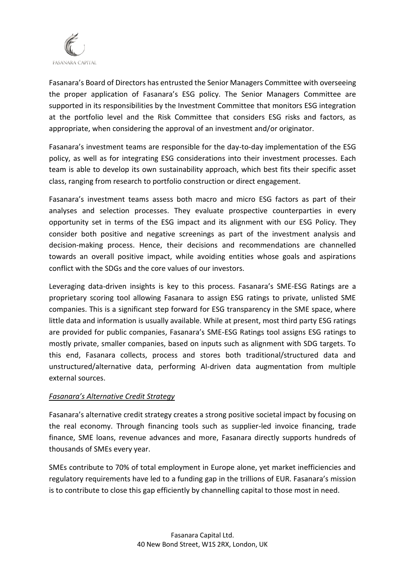

Fasanara's Board of Directors has entrusted the Senior Managers Committee with overseeing the proper application of Fasanara's ESG policy. The Senior Managers Committee are supported in its responsibilities by the Investment Committee that monitors ESG integration at the portfolio level and the Risk Committee that considers ESG risks and factors, as appropriate, when considering the approval of an investment and/or originator.

Fasanara's investment teams are responsible for the day-to-day implementation of the ESG policy, as well as for integrating ESG considerations into their investment processes. Each team is able to develop its own sustainability approach, which best fits their specific asset class, ranging from research to portfolio construction or direct engagement.

Fasanara's investment teams assess both macro and micro ESG factors as part of their analyses and selection processes. They evaluate prospective counterparties in every opportunity set in terms of the ESG impact and its alignment with our ESG Policy. They consider both positive and negative screenings as part of the investment analysis and decision-making process. Hence, their decisions and recommendations are channelled towards an overall positive impact, while avoiding entities whose goals and aspirations conflict with the SDGs and the core values of our investors.

Leveraging data-driven insights is key to this process. Fasanara's SME-ESG Ratings are a proprietary scoring tool allowing Fasanara to assign ESG ratings to private, unlisted SME companies. This is a significant step forward for ESG transparency in the SME space, where little data and information is usually available. While at present, most third party ESG ratings are provided for public companies, Fasanara's SME-ESG Ratings tool assigns ESG ratings to mostly private, smaller companies, based on inputs such as alignment with SDG targets. To this end, Fasanara collects, process and stores both traditional/structured data and unstructured/alternative data, performing AI-driven data augmentation from multiple external sources.

### *Fasanara's Alternative Credit Strategy*

Fasanara's alternative credit strategy creates a strong positive societal impact by focusing on the real economy. Through financing tools such as supplier-led invoice financing, trade finance, SME loans, revenue advances and more, Fasanara directly supports hundreds of thousands of SMEs every year.

SMEs contribute to 70% of total employment in Europe alone, yet market inefficiencies and regulatory requirements have led to a funding gap in the trillions of EUR. Fasanara's mission is to contribute to close this gap efficiently by channelling capital to those most in need.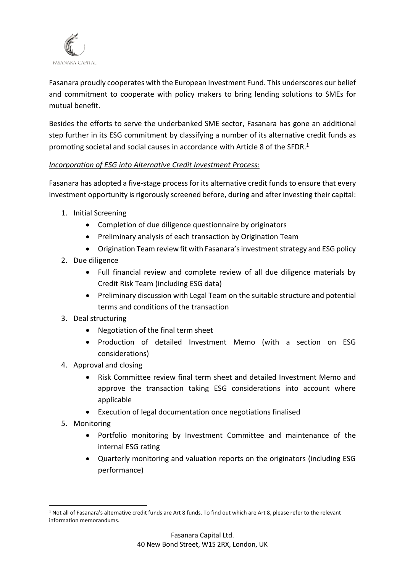

Fasanara proudly cooperates with the European Investment Fund. This underscores our belief and commitment to cooperate with policy makers to bring lending solutions to SMEs for mutual benefit.

Besides the efforts to serve the underbanked SME sector, Fasanara has gone an additional step further in its ESG commitment by classifying a number of its alternative credit funds as promoting societal and social causes in accordance with Article 8 of the SFDR.<sup>1</sup>

### *Incorporation of ESG into Alternative Credit Investment Process:*

Fasanara has adopted a five-stage process for its alternative credit funds to ensure that every investment opportunity is rigorously screened before, during and after investing their capital:

- 1. Initial Screening
	- Completion of due diligence questionnaire by originators
	- Preliminary analysis of each transaction by Origination Team
	- Origination Team review fit with Fasanara's investment strategy and ESG policy
- 2. Due diligence
	- Full financial review and complete review of all due diligence materials by Credit Risk Team (including ESG data)
	- Preliminary discussion with Legal Team on the suitable structure and potential terms and conditions of the transaction
- 3. Deal structuring
	- Negotiation of the final term sheet
	- Production of detailed Investment Memo (with a section on ESG considerations)
- 4. Approval and closing
	- Risk Committee review final term sheet and detailed Investment Memo and approve the transaction taking ESG considerations into account where applicable
	- Execution of legal documentation once negotiations finalised
- 5. Monitoring
	- Portfolio monitoring by Investment Committee and maintenance of the internal ESG rating
	- Quarterly monitoring and valuation reports on the originators (including ESG performance)

<sup>1</sup> Not all of Fasanara's alternative credit funds are Art 8 funds. To find out which are Art 8, please refer to the relevant information memorandums.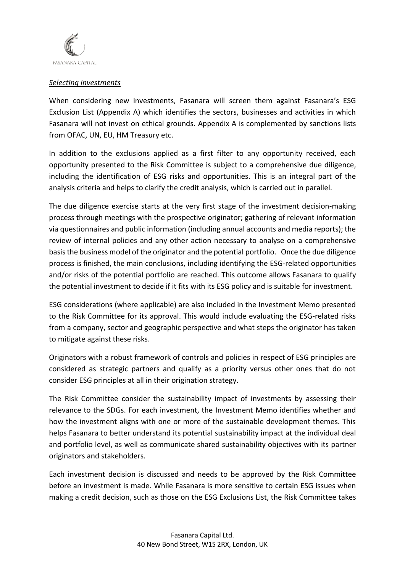

#### *Selecting investments*

When considering new investments, Fasanara will screen them against Fasanara's ESG Exclusion List (Appendix A) which identifies the sectors, businesses and activities in which Fasanara will not invest on ethical grounds. Appendix A is complemented by sanctions lists from OFAC, UN, EU, HM Treasury etc.

In addition to the exclusions applied as a first filter to any opportunity received, each opportunity presented to the Risk Committee is subject to a comprehensive due diligence, including the identification of ESG risks and opportunities. This is an integral part of the analysis criteria and helps to clarify the credit analysis, which is carried out in parallel.

The due diligence exercise starts at the very first stage of the investment decision-making process through meetings with the prospective originator; gathering of relevant information via questionnaires and public information (including annual accounts and media reports); the review of internal policies and any other action necessary to analyse on a comprehensive basis the business model of the originator and the potential portfolio. Once the due diligence process is finished, the main conclusions, including identifying the ESG-related opportunities and/or risks of the potential portfolio are reached. This outcome allows Fasanara to qualify the potential investment to decide if it fits with its ESG policy and is suitable for investment.

ESG considerations (where applicable) are also included in the Investment Memo presented to the Risk Committee for its approval. This would include evaluating the ESG-related risks from a company, sector and geographic perspective and what steps the originator has taken to mitigate against these risks.

Originators with a robust framework of controls and policies in respect of ESG principles are considered as strategic partners and qualify as a priority versus other ones that do not consider ESG principles at all in their origination strategy.

The Risk Committee consider the sustainability impact of investments by assessing their relevance to the SDGs. For each investment, the Investment Memo identifies whether and how the investment aligns with one or more of the sustainable development themes. This helps Fasanara to better understand its potential sustainability impact at the individual deal and portfolio level, as well as communicate shared sustainability objectives with its partner originators and stakeholders.

Each investment decision is discussed and needs to be approved by the Risk Committee before an investment is made. While Fasanara is more sensitive to certain ESG issues when making a credit decision, such as those on the ESG Exclusions List, the Risk Committee takes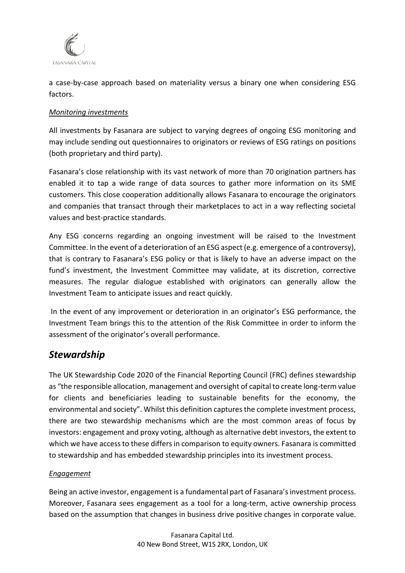

a case-by-case approach based on materiality versus a binary one when considering ESG factors.

### *Monitoring investments*

All investments by Fasanara are subject to varying degrees of ongoing ESG monitoring and may include sending out questionnaires to originators or reviews of ESG ratings on positions (both proprietary and third party).

Fasanara's close relationship with its vast network of more than 70 origination partners has enabled it to tap a wide range of data sources to gather more information on its SME customers. This close cooperation additionally allows Fasanara to encourage the originators and companies that transact through their marketplaces to act in a way reflecting societal values and best-practice standards.

Any ESG concerns regarding an ongoing investment will be raised to the Investment Committee. In the event of a deterioration of an ESG aspect (e.g. emergence of a controversy), that is contrary to Fasanara's ESG policy or that is likely to have an adverse impact on the fund's investment, the Investment Committee may validate, at its discretion, corrective measures. The regular dialogue established with originators can generally allow the Investment Team to anticipate issues and react quickly.

In the event of any improvement or deterioration in an originator's ESG performance, the Investment Team brings this to the attention of the Risk Committee in order to inform the assessment of the originator's overall performance.

## *Stewardship*

The UK Stewardship Code 2020 of the Financial Reporting Council (FRC) defines stewardship as "the responsible allocation, management and oversight of capital to create long-term value for clients and beneficiaries leading to sustainable benefits for the economy, the environmental and society". Whilst this definition captures the complete investment process, there are two stewardship mechanisms which are the most common areas of focus by investors: engagement and proxy voting, although as alternative debt investors, the extent to which we have access to these differs in comparison to equity owners. Fasanara is committed to stewardship and has embedded stewardship principles into its investment process.

### *Engagement*

Being an active investor, engagement is a fundamental part of Fasanara's investment process. Moreover, Fasanara sees engagement as a tool for a long-term, active ownership process based on the assumption that changes in business drive positive changes in corporate value.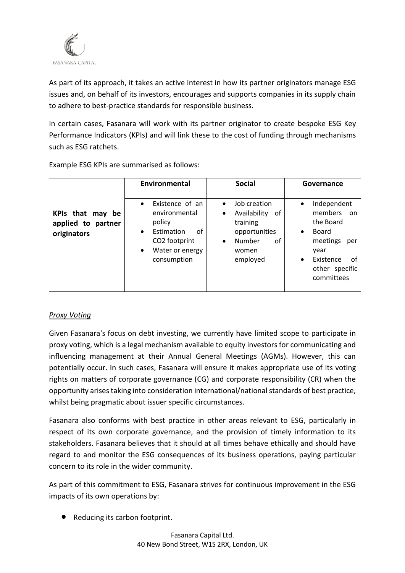

As part of its approach, it takes an active interest in how its partner originators manage ESG issues and, on behalf of its investors, encourages and supports companies in its supply chain to adhere to best-practice standards for responsible business.

In certain cases, Fasanara will work with its partner originator to create bespoke ESG Key Performance Indicators (KPIs) and will link these to the cost of funding through mechanisms such as ESG ratchets.

|                                                          | Environmental                                                                                                                                            | <b>Social</b>                                                                                                                       | Governance                                                                                                                                                               |
|----------------------------------------------------------|----------------------------------------------------------------------------------------------------------------------------------------------------------|-------------------------------------------------------------------------------------------------------------------------------------|--------------------------------------------------------------------------------------------------------------------------------------------------------------------------|
| KPIs that may<br>be<br>applied to partner<br>originators | Existence of an<br>$\bullet$<br>environmental<br>policy<br>Estimation<br>οf<br>$\bullet$<br>CO2 footprint<br>Water or energy<br>$\bullet$<br>consumption | Job creation<br>$\bullet$<br>Availability<br>οf<br>٠<br>training<br>opportunities<br>Number<br>οf<br>$\bullet$<br>women<br>employed | Independent<br>$\bullet$<br>members<br>.on<br>the Board<br>Board<br>$\bullet$<br>meetings<br>per<br>year<br>Existence<br>of<br>$\bullet$<br>other specific<br>committees |

Example ESG KPIs are summarised as follows:

### *Proxy Voting*

Given Fasanara's focus on debt investing, we currently have limited scope to participate in proxy voting, which is a legal mechanism available to equity investors for communicating and influencing management at their Annual General Meetings (AGMs). However, this can potentially occur. In such cases, Fasanara will ensure it makes appropriate use of its voting rights on matters of corporate governance (CG) and corporate responsibility (CR) when the opportunity arises taking into consideration international/national standards of best practice, whilst being pragmatic about issuer specific circumstances.

Fasanara also conforms with best practice in other areas relevant to ESG, particularly in respect of its own corporate governance, and the provision of timely information to its stakeholders. Fasanara believes that it should at all times behave ethically and should have regard to and monitor the ESG consequences of its business operations, paying particular concern to its role in the wider community.

As part of this commitment to ESG, Fasanara strives for continuous improvement in the ESG impacts of its own operations by:

• Reducing its carbon footprint.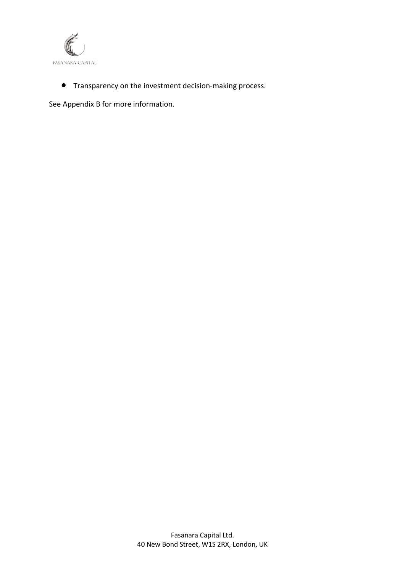

• Transparency on the investment decision-making process.

See Appendix B for more information.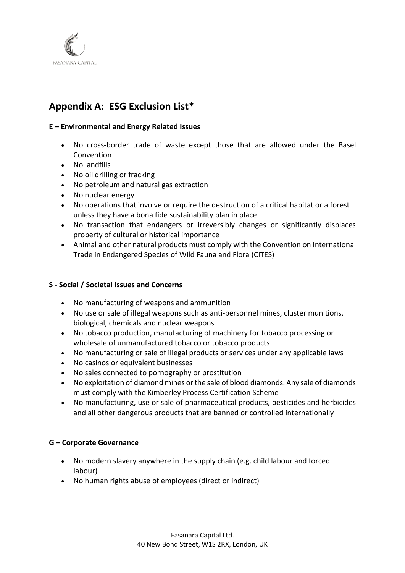

## **Appendix A: ESG Exclusion List\***

#### **E – Environmental and Energy Related Issues**

- No cross-border trade of waste except those that are allowed under the Basel Convention
- No landfills
- No oil drilling or fracking
- No petroleum and natural gas extraction
- No nuclear energy
- No operations that involve or require the destruction of a critical habitat or a forest unless they have a bona fide sustainability plan in place
- No transaction that endangers or irreversibly changes or significantly displaces property of cultural or historical importance
- Animal and other natural products must comply with the Convention on International Trade in Endangered Species of Wild Fauna and Flora (CITES)

#### **S - Social / Societal Issues and Concerns**

- No manufacturing of weapons and ammunition
- No use or sale of illegal weapons such as anti-personnel mines, cluster munitions, biological, chemicals and nuclear weapons
- No tobacco production, manufacturing of machinery for tobacco processing or wholesale of unmanufactured tobacco or tobacco products
- No manufacturing or sale of illegal products or services under any applicable laws
- No casinos or equivalent businesses
- No sales connected to pornography or prostitution
- No exploitation of diamond mines or the sale of blood diamonds. Any sale of diamonds must comply with the Kimberley Process Certification Scheme
- No manufacturing, use or sale of pharmaceutical products, pesticides and herbicides and all other dangerous products that are banned or controlled internationally

#### **G – Corporate Governance**

- No modern slavery anywhere in the supply chain (e.g. child labour and forced labour)
- No human rights abuse of employees (direct or indirect)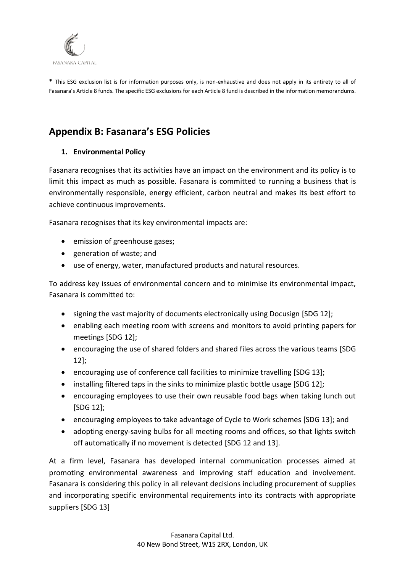

**\*** This ESG exclusion list is for information purposes only, is non-exhaustive and does not apply in its entirety to all of Fasanara's Article 8 funds. The specific ESG exclusions for each Article 8 fund is described in the information memorandums.

## **Appendix B: Fasanara's ESG Policies**

### **1. Environmental Policy**

Fasanara recognises that its activities have an impact on the environment and its policy is to limit this impact as much as possible. Fasanara is committed to running a business that is environmentally responsible, energy efficient, carbon neutral and makes its best effort to achieve continuous improvements.

Fasanara recognises that its key environmental impacts are:

- emission of greenhouse gases;
- generation of waste; and
- use of energy, water, manufactured products and natural resources.

To address key issues of environmental concern and to minimise its environmental impact, Fasanara is committed to:

- signing the vast majority of documents electronically using Docusign [SDG 12];
- enabling each meeting room with screens and monitors to avoid printing papers for meetings [SDG 12];
- encouraging the use of shared folders and shared files across the various teams [SDG 12];
- encouraging use of conference call facilities to minimize travelling [SDG 13];
- installing filtered taps in the sinks to minimize plastic bottle usage [SDG 12];
- encouraging employees to use their own reusable food bags when taking lunch out [SDG 12];
- encouraging employees to take advantage of Cycle to Work schemes [SDG 13]; and
- adopting energy-saving bulbs for all meeting rooms and offices, so that lights switch off automatically if no movement is detected [SDG 12 and 13].

At a firm level, Fasanara has developed internal communication processes aimed at promoting environmental awareness and improving staff education and involvement. Fasanara is considering this policy in all relevant decisions including procurement of supplies and incorporating specific environmental requirements into its contracts with appropriate suppliers [SDG 13]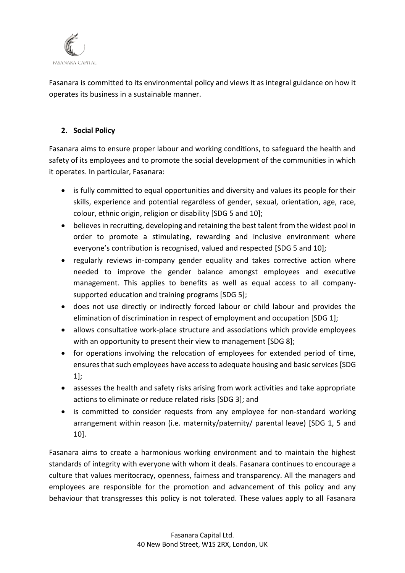

Fasanara is committed to its environmental policy and views it as integral guidance on how it operates its business in a sustainable manner.

### **2. Social Policy**

Fasanara aims to ensure proper labour and working conditions, to safeguard the health and safety of its employees and to promote the social development of the communities in which it operates. In particular, Fasanara:

- is fully committed to equal opportunities and diversity and values its people for their skills, experience and potential regardless of gender, sexual, orientation, age, race, colour, ethnic origin, religion or disability [SDG 5 and 10];
- believes in recruiting, developing and retaining the best talent from the widest pool in order to promote a stimulating, rewarding and inclusive environment where everyone's contribution is recognised, valued and respected [SDG 5 and 10];
- regularly reviews in-company gender equality and takes corrective action where needed to improve the gender balance amongst employees and executive management. This applies to benefits as well as equal access to all companysupported education and training programs [SDG 5];
- does not use directly or indirectly forced labour or child labour and provides the elimination of discrimination in respect of employment and occupation [SDG 1];
- allows consultative work-place structure and associations which provide employees with an opportunity to present their view to management [SDG 8];
- for operations involving the relocation of employees for extended period of time, ensures that such employees have access to adequate housing and basic services [SDG 1];
- assesses the health and safety risks arising from work activities and take appropriate actions to eliminate or reduce related risks [SDG 3]; and
- is committed to consider requests from any employee for non-standard working arrangement within reason (i.e. maternity/paternity/ parental leave) [SDG 1, 5 and 10].

Fasanara aims to create a harmonious working environment and to maintain the highest standards of integrity with everyone with whom it deals. Fasanara continues to encourage a culture that values meritocracy, openness, fairness and transparency. All the managers and employees are responsible for the promotion and advancement of this policy and any behaviour that transgresses this policy is not tolerated. These values apply to all Fasanara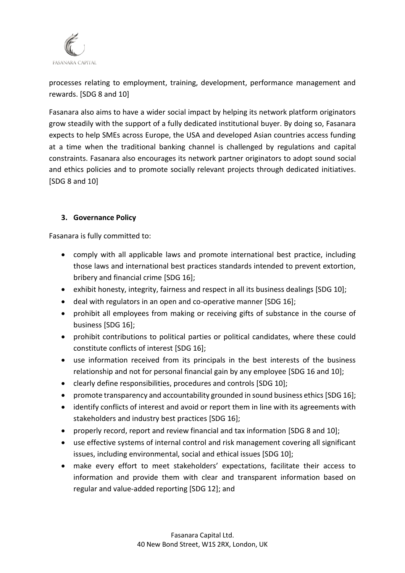

processes relating to employment, training, development, performance management and rewards. [SDG 8 and 10]

Fasanara also aims to have a wider social impact by helping its network platform originators grow steadily with the support of a fully dedicated institutional buyer. By doing so, Fasanara expects to help SMEs across Europe, the USA and developed Asian countries access funding at a time when the traditional banking channel is challenged by regulations and capital constraints. Fasanara also encourages its network partner originators to adopt sound social and ethics policies and to promote socially relevant projects through dedicated initiatives. [SDG 8 and 10]

### **3. Governance Policy**

Fasanara is fully committed to:

- comply with all applicable laws and promote international best practice, including those laws and international best practices standards intended to prevent extortion, bribery and financial crime [SDG 16];
- exhibit honesty, integrity, fairness and respect in all its business dealings [SDG 10];
- deal with regulators in an open and co-operative manner [SDG 16];
- prohibit all employees from making or receiving gifts of substance in the course of business [SDG 16];
- prohibit contributions to political parties or political candidates, where these could constitute conflicts of interest [SDG 16];
- use information received from its principals in the best interests of the business relationship and not for personal financial gain by any employee [SDG 16 and 10];
- clearly define responsibilities, procedures and controls [SDG 10];
- promote transparency and accountability grounded in sound business ethics [SDG 16];
- identify conflicts of interest and avoid or report them in line with its agreements with stakeholders and industry best practices [SDG 16];
- properly record, report and review financial and tax information [SDG 8 and 10];
- use effective systems of internal control and risk management covering all significant issues, including environmental, social and ethical issues [SDG 10];
- make every effort to meet stakeholders' expectations, facilitate their access to information and provide them with clear and transparent information based on regular and value-added reporting [SDG 12]; and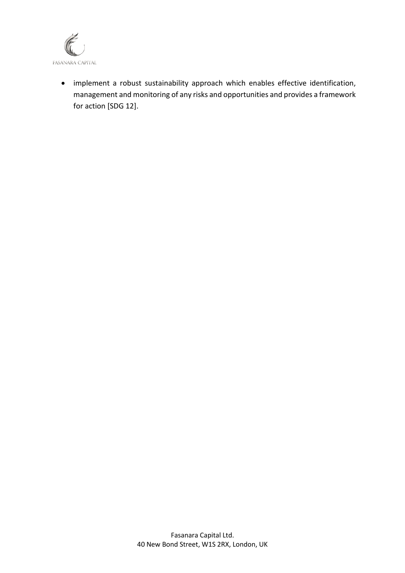

• implement a robust sustainability approach which enables effective identification, management and monitoring of any risks and opportunities and provides a framework for action [SDG 12].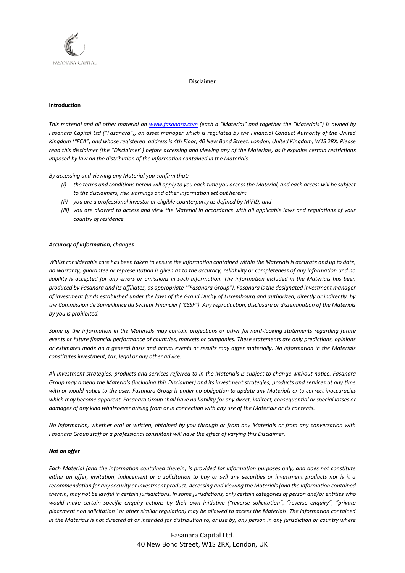

#### **Disclaimer**

#### **Introduction**

*This material and all other material on [www.fasanara.com](http://www.fasanara.com/) (each a "Material" and together the "Materials") is owned by Fasanara Capital Ltd ("Fasanara"), an asset manager which is regulated by the Financial Conduct Authority of the United Kingdom ("FCA") and whose registered address is 4th Floor, 40 New Bond Street, London, United Kingdom, W1S 2RX. Please read this disclaimer (the "Disclaimer") before accessing and viewing any of the Materials, as it explains certain restrictions imposed by law on the distribution of the information contained in the Materials.*

*By accessing and viewing any Material you confirm that:*

- *(i) the terms and conditions herein will apply to you each time you access the Material, and each access will be subject to the disclaimers, risk warnings and other information set out herein;*
- *(ii) you are a professional investor or eligible counterparty as defined by MiFID; and*
- *(iii) you are allowed to access and view the Material in accordance with all applicable laws and regulations of your country of residence.*

#### *Accuracy of information; changes*

*Whilst considerable care has been taken to ensure the information contained within the Materials is accurate and up to date, no warranty, guarantee or representation is given as to the accuracy, reliability or completeness of any information and no*  liability is accepted for any errors or omissions in such information. The information included in the Materials has been *produced by Fasanara and its affiliates, as appropriate ("Fasanara Group"). Fasanara is the designated investment manager of investment funds established under the laws of the Grand Duchy of Luxembourg and authorized, directly or indirectly, by the Commission de Surveillance du Secteur Financier ("CSSF"). Any reproduction, disclosure or dissemination of the Materials by you is prohibited.* 

*Some of the information in the Materials may contain projections or other forward-looking statements regarding future events or future financial performance of countries, markets or companies. These statements are only predictions, opinions or estimates made on a general basis and actual events or results may differ materially. No information in the Materials constitutes investment, tax, legal or any other advice.*

*All investment strategies, products and services referred to in the Materials is subject to change without notice. Fasanara Group may amend the Materials (including this Disclaimer) and its investment strategies, products and services at any time with or would notice to the user. Fasanara Group is under no obligation to update any Materials or to correct inaccuracies which may become apparent. Fasanara Group shall have no liability for any direct, indirect, consequential or special losses or damages of any kind whatsoever arising from or in connection with any use of the Materials or its contents.*

*No information, whether oral or written, obtained by you through or from any Materials or from any conversation with Fasanara Group staff or a professional consultant will have the effect of varying this Disclaimer.*

#### *Not an offer*

*Each Material (and the information contained therein) is provided for information purposes only, and does not constitute either an offer, invitation, inducement or a solicitation to buy or sell any securities or investment products nor is it a recommendation for any security or investment product. Accessing and viewing the Materials (and the information contained therein) may not be lawful in certain jurisdictions. In some jurisdictions, only certain categories of person and/or entities who would make certain specific enquiry actions by their own initiative ("reverse solicitation", "reverse enquiry", "private placement non solicitation" or other similar regulation) may be allowed to access the Materials. The information contained in the Materials is not directed at or intended for distribution to, or use by, any person in any jurisdiction or country where* 

> Fasanara Capital Ltd. 40 New Bond Street, W1S 2RX, London, UK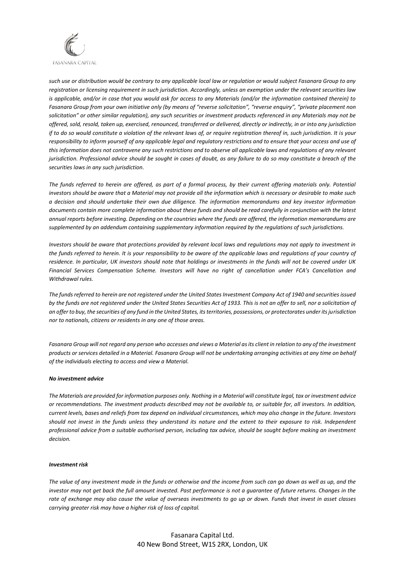

*such use or distribution would be contrary to any applicable local law or regulation or would subject Fasanara Group to any registration or licensing requirement in such jurisdiction. Accordingly, unless an exemption under the relevant securities law is applicable, and/or in case that you would ask for access to any Materials (and/or the information contained therein) to Fasanara Group from your own initiative only (by means of "reverse solicitation", "reverse enquiry", "private placement non solicitation" or other similar regulation), any such securities or investment products referenced in any Materials may not be offered, sold, resold, taken up, exercised, renounced, transferred or delivered, directly or indirectly, in or into any jurisdiction if to do so would constitute a violation of the relevant laws of, or require registration thereof in, such jurisdiction. It is your responsibility to inform yourself of any applicable legal and regulatory restrictions and to ensure that your access and use of this information does not contravene any such restrictions and to observe all applicable laws and regulations of any relevant jurisdiction. Professional advice should be sought in cases of doubt, as any failure to do so may constitute a breach of the securities laws in any such jurisdiction.*

*The funds referred to herein are offered, as part of a formal process, by their current offering materials only. Potential investors should be aware that a Material may not provide all the information which is necessary or desirable to make such a decision and should undertake their own due diligence. The information memorandums and key investor information documents contain more complete information about these funds and should be read carefully in conjunction with the latest annual reports before investing. Depending on the countries where the funds are offered, the information memorandums are supplemented by an addendum containing supplementary information required by the regulations of such jurisdictions.* 

*Investors should be aware that protections provided by relevant local laws and regulations may not apply to investment in the funds referred to herein. It is your responsibility to be aware of the applicable laws and regulations of your country of residence. In particular, UK investors should note that holdings or investments in the funds will not be covered under UK Financial Services Compensation Scheme. Investors will have no right of cancellation under FCA's Cancellation and Withdrawal rules.*

*The funds referred to herein are not registered under the United States Investment Company Act of 1940 and securities issued*  by the funds are not registered under the United States Securities Act of 1933. This is not an offer to sell, nor a solicitation of *an offer to buy, the securities of any fund in the United States, its territories, possessions, or protectorates under its jurisdiction nor to nationals, citizens or residents in any one of those areas.*

*Fasanara Group will not regard any person who accesses and views a Material as its client in relation to any of the investment products or services detailed in a Material. Fasanara Group will not be undertaking arranging activities at any time on behalf of the individuals electing to access and view a Material.*

#### *No investment advice*

*The Materials are provided for information purposes only. Nothing in a Material will constitute legal, tax or investment advice or recommendations. The investment products described may not be available to, or suitable for, all investors. In addition, current levels, bases and reliefs from tax depend on individual circumstances, which may also change in the future. Investors should not invest in the funds unless they understand its nature and the extent to their exposure to risk. Independent professional advice from a suitable authorised person, including tax advice, should be sought before making an investment decision.*

#### *Investment risk*

*The value of any investment made in the funds or otherwise and the income from such can go down as well as up, and the investor may not get back the full amount invested. Past performance is not a guarantee of future returns. Changes in the rate of exchange may also cause the value of overseas investments to go up or down. Funds that invest in asset classes carrying greater risk may have a higher risk of loss of capital.* 

> Fasanara Capital Ltd. 40 New Bond Street, W1S 2RX, London, UK